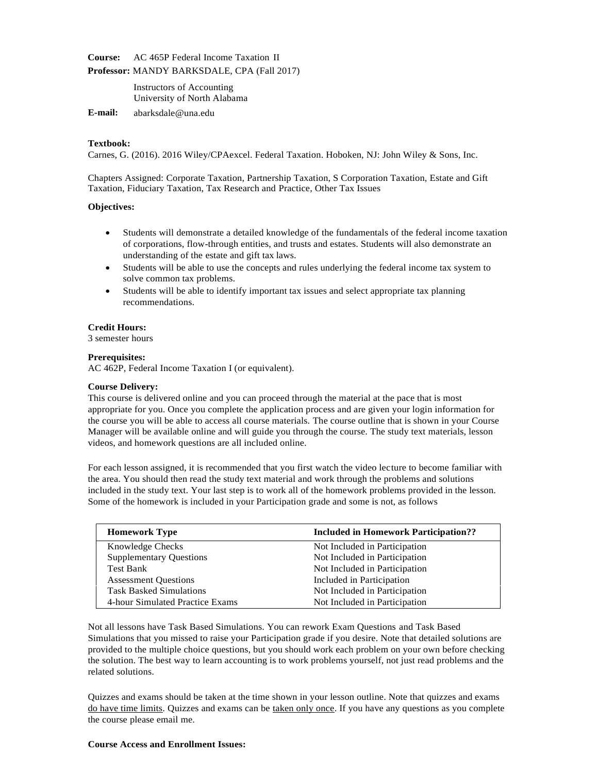**Course:** AC 465P Federal Income Taxation II

**Professor:** MANDY BARKSDALE, CPA (Fall 2017)

Instructors of Accounting University of North Alabama

**E-mail:** [abarksdale@una.edu](mailto:abarksdale@una.edu)

## **Textbook:**

Carnes, G. (2016). 2016 Wiley/CPAexcel. Federal Taxation. Hoboken, NJ: John Wiley & Sons, Inc.

Chapters Assigned: Corporate Taxation, Partnership Taxation, S Corporation Taxation, Estate and Gift Taxation, Fiduciary Taxation, Tax Research and Practice, Other Tax Issues

## **Objectives:**

- Students will demonstrate a detailed knowledge of the fundamentals of the federal income taxation of corporations, flow-through entities, and trusts and estates. Students will also demonstrate an understanding of the estate and gift tax laws.
- Students will be able to use the concepts and rules underlying the federal income tax system to solve common tax problems.
- Students will be able to identify important tax issues and select appropriate tax planning recommendations.

### **Credit Hours:**

3 semester hours

### **Prerequisites:**

AC 462P, Federal Income Taxation I (or equivalent).

#### **Course Delivery:**

This course is delivered online and you can proceed through the material at the pace that is most appropriate for you. Once you complete the application process and are given your login information for the course you will be able to access all course materials. The course outline that is shown in your Course Manager will be available online and will guide you through the course. The study text materials, lesson videos, and homework questions are all included online.

For each lesson assigned, it is recommended that you first watch the video lecture to become familiar with the area. You should then read the study text material and work through the problems and solutions included in the study text. Your last step is to work all of the homework problems provided in the lesson. Some of the homework is included in your Participation grade and some is not, as follows

| <b>Homework Type</b>            | <b>Included in Homework Participation??</b> |
|---------------------------------|---------------------------------------------|
| <b>Knowledge Checks</b>         | Not Included in Participation               |
| <b>Supplementary Questions</b>  | Not Included in Participation               |
| <b>Test Bank</b>                | Not Included in Participation               |
| <b>Assessment Questions</b>     | Included in Participation                   |
| <b>Task Basked Simulations</b>  | Not Included in Participation               |
| 4-hour Simulated Practice Exams | Not Included in Participation               |

Not all lessons have Task Based Simulations. You can rework Exam Questions and Task Based Simulations that you missed to raise your Participation grade if you desire. Note that detailed solutions are provided to the multiple choice questions, but you should work each problem on your own before checking the solution. The best way to learn accounting is to work problems yourself, not just read problems and the related solutions.

Quizzes and exams should be taken at the time shown in your lesson outline. Note that quizzes and exams do have time limits. Quizzes and exams can be taken only once. If you have any questions as you complete the course please email me.

#### **Course Access and Enrollment Issues:**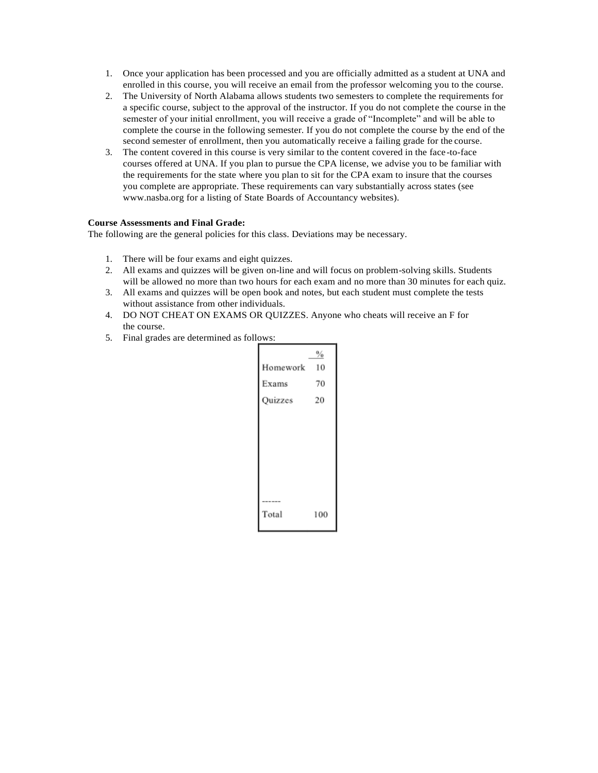- 1. Once your application has been processed and you are officially admitted as a student at UNA and enrolled in this course, you will receive an email from the professor welcoming you to the course.
- 2. The University of North Alabama allows students two semesters to complete the requirements for a specific course, subject to the approval of the instructor. If you do not complete the course in the semester of your initial enrollment, you will receive a grade of "Incomplete" and will be able to complete the course in the following semester. If you do not complete the course by the end of the second semester of enrollment, then you automatically receive a failing grade for the course.
- 3. The content covered in this course is very similar to the content covered in the face-to-face courses offered at UNA. If you plan to pursue the CPA license, we advise you to be familiar with the requirements for the state where you plan to sit for the CPA exam to insure that the courses you complete are appropriate. These requirements can vary substantially across states (see [www.nasba.org f](http://www.nasba.org/)or a listing of State Boards of Accountancy websites).

## **Course Assessments and Final Grade:**

The following are the general policies for this class. Deviations may be necessary.

- 1. There will be four exams and eight quizzes.
- 2. All exams and quizzes will be given on-line and will focus on problem-solving skills. Students will be allowed no more than two hours for each exam and no more than 30 minutes for each quiz.
- 3. All exams and quizzes will be open book and notes, but each student must complete the tests without assistance from other individuals.
- 4. DO NOT CHEAT ON EXAMS OR QUIZZES. Anyone who cheats will receive an F for the course.
- 5. Final grades are determined as follows:

|           | $\%$ |
|-----------|------|
| Homework  | - 10 |
| Exams     | 70   |
| Quizzes   | 20   |
|           |      |
|           |      |
|           |      |
|           |      |
|           |      |
| $- - - -$ |      |
| Total     | 100  |
|           |      |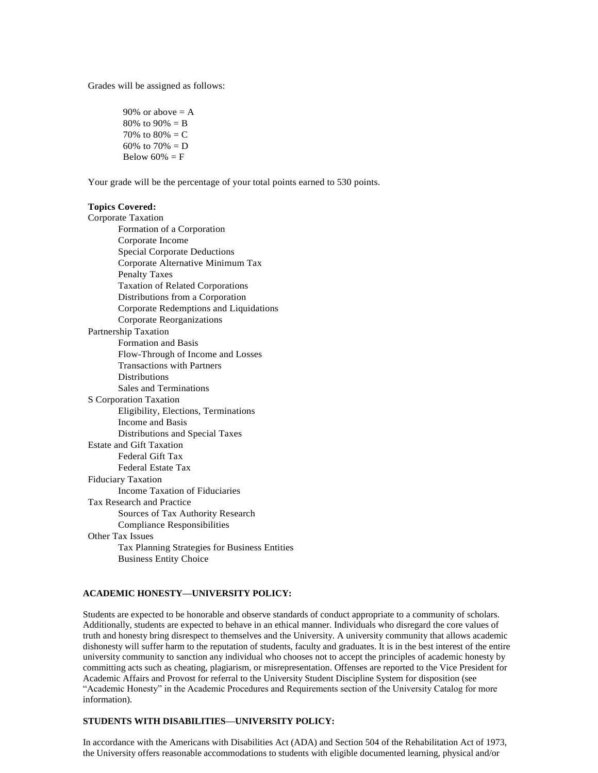Grades will be assigned as follows:

90% or above  $= A$ 80% to 90% =  $B$ 70% to  $80% = C$ 60% to  $70% = D$ Below  $60\% = F$ 

Your grade will be the percentage of your total points earned to 530 points.

#### **Topics Covered:**

Corporate Taxation Formation of a Corporation Corporate Income Special Corporate Deductions Corporate Alternative Minimum Tax Penalty Taxes Taxation of Related Corporations Distributions from a Corporation Corporate Redemptions and Liquidations Corporate Reorganizations Partnership Taxation Formation and Basis Flow-Through of Income and Losses Transactions with Partners Distributions Sales and Terminations S Corporation Taxation Eligibility, Elections, Terminations Income and Basis Distributions and Special Taxes Estate and Gift Taxation Federal Gift Tax Federal Estate Tax Fiduciary Taxation Income Taxation of Fiduciaries Tax Research and Practice Sources of Tax Authority Research Compliance Responsibilities Other Tax Issues Tax Planning Strategies for Business Entities Business Entity Choice

# **ACADEMIC HONESTY—UNIVERSITY POLICY:**

Students are expected to be honorable and observe standards of conduct appropriate to a community of scholars. Additionally, students are expected to behave in an ethical manner. Individuals who disregard the core values of truth and honesty bring disrespect to themselves and the University. A university community that allows academic dishonesty will suffer harm to the reputation of students, faculty and graduates. It is in the best interest of the entire university community to sanction any individual who chooses not to accept the principles of academic honesty by committing acts such as cheating, plagiarism, or misrepresentation. Offenses are reported to the Vice President for Academic Affairs and Provost for referral to the University Student Discipline System for disposition (see "Academic Honesty" in the Academic Procedures and Requirements section of the University Catalog for more information).

## **STUDENTS WITH DISABILITIES—UNIVERSITY POLICY:**

In accordance with the Americans with Disabilities Act (ADA) and Section 504 of the Rehabilitation Act of 1973, the University offers reasonable accommodations to students with eligible documented learning, physical and/or